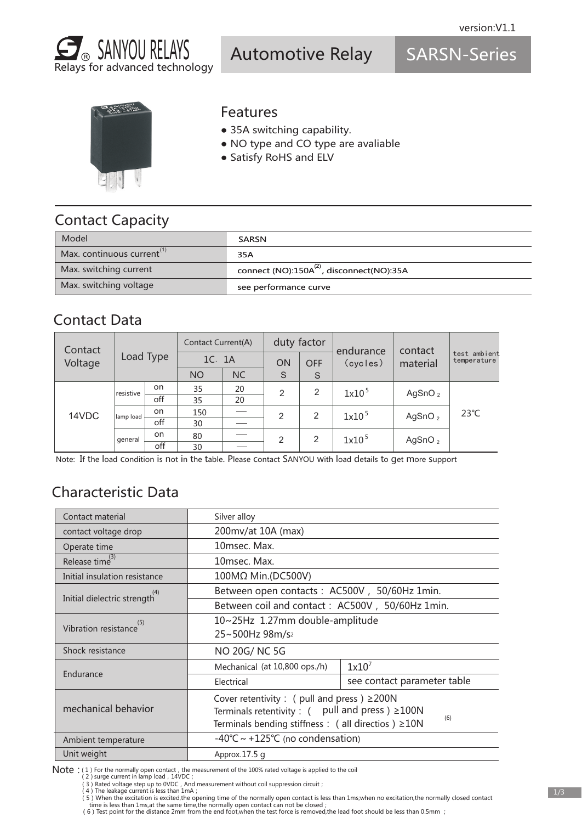

Automotive Relay

SARSN-Series



#### Features

- 35A switching capability.
- NO type and CO type are avaliable
- Satisfy RoHS and ELV

### Contact Capacity

| Model                                | <b>SARSN</b>                                          |
|--------------------------------------|-------------------------------------------------------|
| Max. continuous current <sup>"</sup> | 35A                                                   |
| Max. switching current               | connect (NO):150A <sup>(2)</sup> , disconnect(NO):35A |
| Max. switching voltage               | see performance curve                                 |

### Contact Data

| Contact | Load Type |           | <b>Contact Current(A)</b> |           | duty factor |            | endurance         | contact    |                             |
|---------|-----------|-----------|---------------------------|-----------|-------------|------------|-------------------|------------|-----------------------------|
| Voltage |           |           | 1C. 1A                    |           | <b>ON</b>   | <b>OFF</b> | (cycles)          | material   | test ambient<br>temperature |
|         |           |           | <b>NO</b>                 | <b>NC</b> | S           | S          |                   |            |                             |
|         | resistive | on.       | 35                        | 20        | 2           | 2          | 1x10 <sup>5</sup> | AgSnO $_2$ | $23^{\circ}C$               |
|         |           | off       | 35                        | 20        |             |            |                   |            |                             |
| 14VDC   | lamp load | on        | 150                       |           | 2           | 2          | 1x10 <sup>5</sup> | AgSnO $_2$ |                             |
|         |           | off       | 30                        |           |             |            |                   |            |                             |
|         | general   | on        | 80                        |           | 2           | 2          | $1x10^5$          | AgSnO $_2$ |                             |
|         |           | off<br>30 |                           |           |             |            |                   |            |                             |

Note: If the load condition is not in the table. Please contact SANYOU with load details to get more support

# Characteristic Data

| Contact material              | Silver alloy                                                      |                             |  |  |  |
|-------------------------------|-------------------------------------------------------------------|-----------------------------|--|--|--|
| contact voltage drop          | 200mv/at 10A (max)                                                |                             |  |  |  |
| Operate time                  | 10msec. Max.                                                      |                             |  |  |  |
| Release time <sup>(3)</sup>   | 10msec. Max.                                                      |                             |  |  |  |
| Initial insulation resistance | 100MΩ Min.(DC500V)                                                |                             |  |  |  |
| Initial dielectric strength   | Between open contacts: AC500V, 50/60Hz 1min.                      |                             |  |  |  |
|                               | Between coil and contact: AC500V, 50/60Hz 1min.                   |                             |  |  |  |
| (5)<br>Vibration resistance   | 10~25Hz 1.27mm double-amplitude                                   |                             |  |  |  |
|                               | 25~500Hz 98m/s <sup>2</sup>                                       |                             |  |  |  |
| Shock resistance              | NO 20G/NC 5G                                                      |                             |  |  |  |
|                               | Mechanical (at 10,800 ops./h)                                     | $1x10^7$                    |  |  |  |
| Endurance                     | Electrical                                                        | see contact parameter table |  |  |  |
|                               | Cover retentivity : ( pull and press ) $\geq$ 200N                |                             |  |  |  |
| mechanical behavior           | Terminals retentivity : $($ pull and press $) \geq 100N$          |                             |  |  |  |
|                               | (6)<br>Terminals bending stiffness : ( all directios ) $\geq$ 10N |                             |  |  |  |
| Ambient temperature           | $-40^{\circ}$ C ~ +125 $^{\circ}$ C (no condensation)             |                             |  |  |  |
| Unit weight                   | Approx.17.5 g                                                     |                             |  |  |  |

Note : (1) For the normally open contact, the measurement of the 100% rated voltage is applied to the coil (2) surge current in lamp load, 14VDC;

(3) Rated voltage step up to 0VDC, And measurement without coil suppression circuit;<br>(4) The leakage current is less than 1mA ;

5) When the excitation is excited,the opening time of the normally open contact is less than 1ms;when no excitation,the normally closed contact ( time is less than 1ms;when no excitation,the normally closed contact ( 6) Te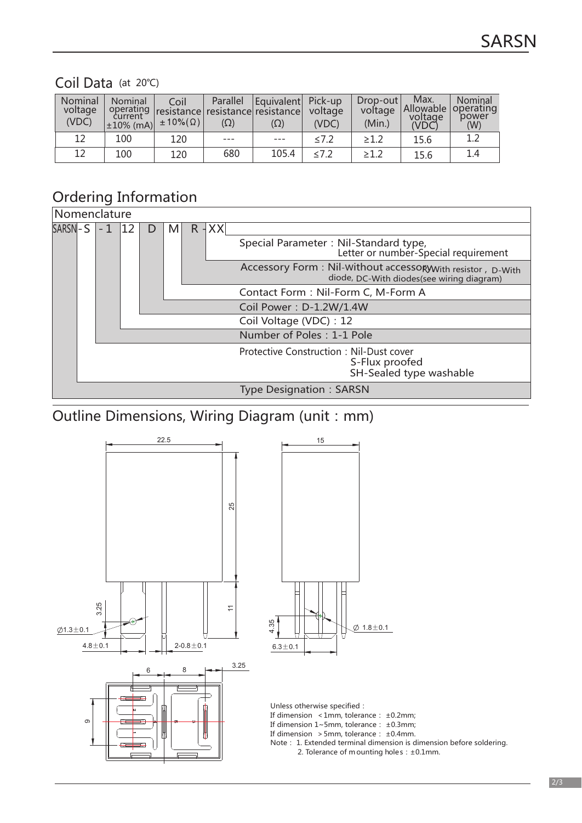#### Coil Data (at 20℃)

| Nominal<br>voltage<br>(VDC) | Nominal<br>current<br>$\pm 10\%$ (mA) | Coil<br>$\pm 10\%$ $(\Omega)$ | Parallel<br>$(\Omega)$ | Equivalent Pick-up<br>operating resistance resistance resistance<br>$(\Omega)$ | voltage<br>(VDC) | $Drop-out$<br>voltage<br>(Min.) | Max.<br>Allowable<br>voltage<br>(VDC) | Nominal<br>operating<br>power<br>(W) |
|-----------------------------|---------------------------------------|-------------------------------|------------------------|--------------------------------------------------------------------------------|------------------|---------------------------------|---------------------------------------|--------------------------------------|
| 12                          | 100                                   | 120                           |                        |                                                                                | $\leq 7.2$       | $\geq 1.2$                      | 15.6                                  | 1.2                                  |
| 12                          | 100                                   | 120                           | 680                    | 105.4                                                                          | $\leq 7.2$       | $\geq 1.2$                      | 15.6                                  | 1.4                                  |

### Ordering Information

|                | Nomenclature |  |    |              |   |                           |          |                                                                                                          |
|----------------|--------------|--|----|--------------|---|---------------------------|----------|----------------------------------------------------------------------------------------------------------|
| <b>SARSN-S</b> |              |  | 12 | $\mathsf{D}$ | M |                           | $R + XX$ |                                                                                                          |
|                |              |  |    |              |   |                           |          | Special Parameter: Nil-Standard type,<br>Letter or number-Special requirement                            |
|                |              |  |    |              |   |                           |          | Accessory Form: Nil-Without accessory With resistor, D-With<br>diode, DC-With diodes(see wiring diagram) |
|                |              |  |    |              |   |                           |          | Contact Form: Nil-Form C, M-Form A                                                                       |
|                |              |  |    |              |   |                           |          | Coil Power: D-1.2W/1.4W                                                                                  |
|                |              |  |    |              |   |                           |          | Coil Voltage (VDC) : 12                                                                                  |
|                |              |  |    |              |   | Number of Poles: 1-1 Pole |          |                                                                                                          |
|                |              |  |    |              |   |                           |          | <b>Protective Construction: Nil-Dust cover</b><br>S-Flux proofed<br>SH-Sealed type washable              |
|                |              |  |    |              |   |                           |          | <b>Type Designation: SARSN</b>                                                                           |

# Outline Dimensions, Wiring Diagram (unit: mm)